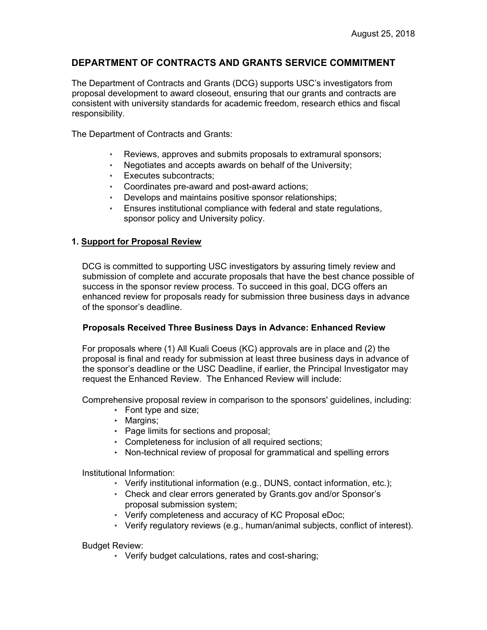# **DEPARTMENT OF CONTRACTS AND GRANTS SERVICE COMMITMENT**

The Department of Contracts and Grants (DCG) supports USC's investigators from proposal development to award closeout, ensuring that our grants and contracts are consistent with university standards for academic freedom, research ethics and fiscal responsibility.

The Department of Contracts and Grants:

- Reviews, approves and submits proposals to extramural sponsors;
- Negotiates and accepts awards on behalf of the University;
- Executes subcontracts;
- Coordinates pre-award and post-award actions;
- Develops and maintains positive sponsor relationships;
- Ensures institutional compliance with federal and state regulations, sponsor policy and University policy.

## **1. Support for Proposal Review**

DCG is committed to supporting USC investigators by assuring timely review and submission of complete and accurate proposals that have the best chance possible of success in the sponsor review process. To succeed in this goal, DCG offers an enhanced review for proposals ready for submission three business days in advance of the sponsor's deadline.

#### **Proposals Received Three Business Days in Advance: Enhanced Review**

For proposals where (1) All Kuali Coeus (KC) approvals are in place and (2) the proposal is final and ready for submission at least three business days in advance of the sponsor's deadline or the USC Deadline, if earlier, the Principal Investigator may request the Enhanced Review. The Enhanced Review will include:

Comprehensive proposal review in comparison to the sponsors' guidelines, including:

- Font type and size;
- Margins;
- Page limits for sections and proposal;
- Completeness for inclusion of all required sections;
- Non-technical review of proposal for grammatical and spelling errors

Institutional Information:

- Verify institutional information (e.g., DUNS, contact information, etc.);
- Check and clear errors generated by Grants.gov and/or Sponsor's proposal submission system;
- Verify completeness and accuracy of KC Proposal eDoc;
- Verify regulatory reviews (e.g., human/animal subjects, conflict of interest).

Budget Review:

• Verify budget calculations, rates and cost-sharing;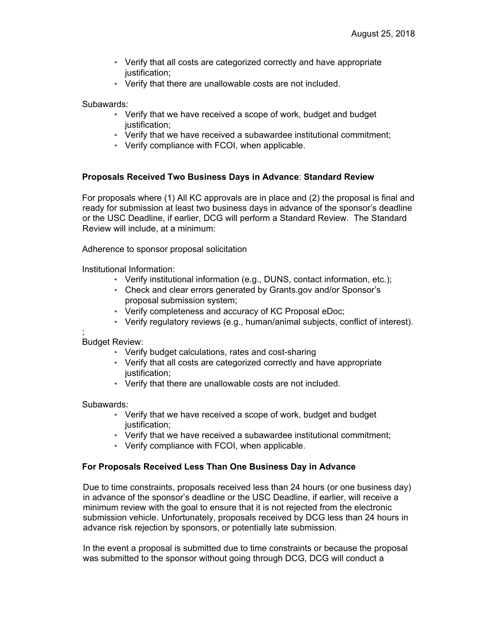- Verify that all costs are categorized correctly and have appropriate justification;
- Verify that there are unallowable costs are not included.

Subawards:

- Verify that we have received a scope of work, budget and budget justification;
- Verify that we have received a subawardee institutional commitment;
- Verify compliance with FCOI, when applicable.

## **Proposals Received Two Business Days in Advance**: **Standard Review**

For proposals where (1) All KC approvals are in place and (2) the proposal is final and ready for submission at least two business days in advance of the sponsor's deadline or the USC Deadline, if earlier, DCG will perform a Standard Review. The Standard Review will include, at a minimum:

Adherence to sponsor proposal solicitation

Institutional Information:

- Verify institutional information (e.g., DUNS, contact information, etc.);
- Check and clear errors generated by Grants.gov and/or Sponsor's proposal submission system;
- Verify completeness and accuracy of KC Proposal eDoc;
- Verify regulatory reviews (e.g., human/animal subjects, conflict of interest).

; Budget Review:

- Verify budget calculations, rates and cost-sharing
- Verify that all costs are categorized correctly and have appropriate justification;
- Verify that there are unallowable costs are not included.

Subawards:

- Verify that we have received a scope of work, budget and budget justification;
- Verify that we have received a subawardee institutional commitment;
- Verify compliance with FCOI, when applicable.

## **For Proposals Received Less Than One Business Day in Advance**

Due to time constraints, proposals received less than 24 hours (or one business day) in advance of the sponsor's deadline or the USC Deadline, if earlier, will receive a minimum review with the goal to ensure that it is not rejected from the electronic submission vehicle. Unfortunately, proposals received by DCG less than 24 hours in advance risk rejection by sponsors, or potentially late submission.

In the event a proposal is submitted due to time constraints or because the proposal was submitted to the sponsor without going through DCG, DCG will conduct a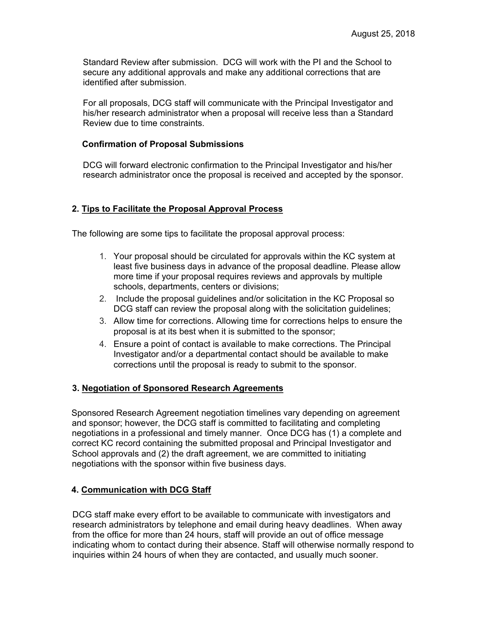Standard Review after submission. DCG will work with the PI and the School to secure any additional approvals and make any additional corrections that are identified after submission.

For all proposals, DCG staff will communicate with the Principal Investigator and his/her research administrator when a proposal will receive less than a Standard Review due to time constraints.

#### **Confirmation of Proposal Submissions**

DCG will forward electronic confirmation to the Principal Investigator and his/her research administrator once the proposal is received and accepted by the sponsor.

## **2. Tips to Facilitate the Proposal Approval Process**

The following are some tips to facilitate the proposal approval process:

- 1. Your proposal should be circulated for approvals within the KC system at least five business days in advance of the proposal deadline. Please allow more time if your proposal requires reviews and approvals by multiple schools, departments, centers or divisions;
- 2. Include the proposal guidelines and/or solicitation in the KC Proposal so DCG staff can review the proposal along with the solicitation guidelines;
- 3. Allow time for corrections. Allowing time for corrections helps to ensure the proposal is at its best when it is submitted to the sponsor;
- 4. Ensure a point of contact is available to make corrections. The Principal Investigator and/or a departmental contact should be available to make corrections until the proposal is ready to submit to the sponsor.

#### **3. Negotiation of Sponsored Research Agreements**

Sponsored Research Agreement negotiation timelines vary depending on agreement and sponsor; however, the DCG staff is committed to facilitating and completing negotiations in a professional and timely manner. Once DCG has (1) a complete and correct KC record containing the submitted proposal and Principal Investigator and School approvals and (2) the draft agreement, we are committed to initiating negotiations with the sponsor within five business days.

## **4. Communication with DCG Staff**

DCG staff make every effort to be available to communicate with investigators and research administrators by telephone and email during heavy deadlines. When away from the office for more than 24 hours, staff will provide an out of office message indicating whom to contact during their absence. Staff will otherwise normally respond to inquiries within 24 hours of when they are contacted, and usually much sooner.